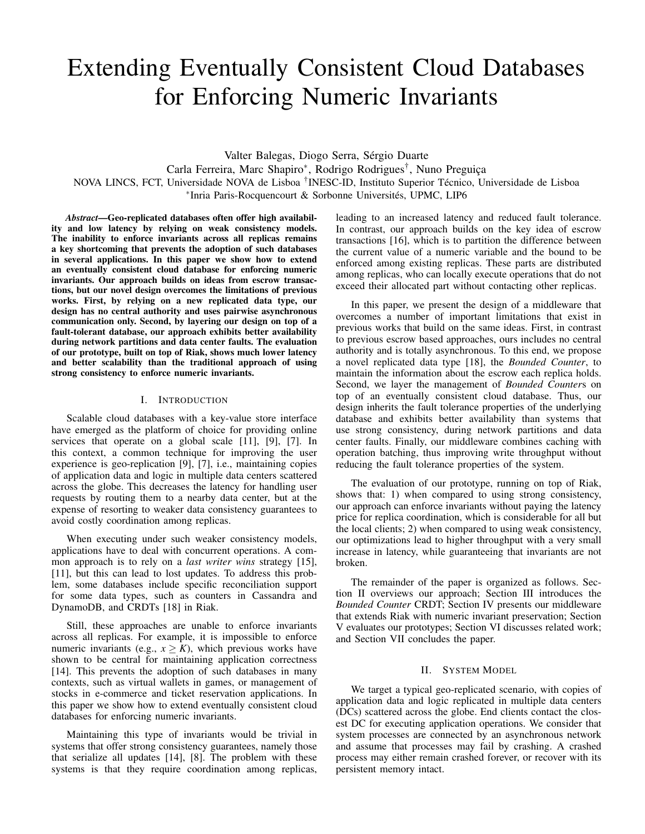# Extending Eventually Consistent Cloud Databases for Enforcing Numeric Invariants

Valter Balegas, Diogo Serra, Sérgio Duarte Carla Ferreira, Marc Shapiro<sup>∗</sup> , Rodrigo Rodrigues† , Nuno Preguiça NOVA LINCS, FCT, Universidade NOVA de Lisboa † INESC-ID, Instituto Superior Técnico, Universidade de Lisboa ∗ Inria Paris-Rocquencourt & Sorbonne Universités, UPMC, LIP6

*Abstract*—Geo-replicated databases often offer high availability and low latency by relying on weak consistency models. The inability to enforce invariants across all replicas remains a key shortcoming that prevents the adoption of such databases in several applications. In this paper we show how to extend an eventually consistent cloud database for enforcing numeric invariants. Our approach builds on ideas from escrow transactions, but our novel design overcomes the limitations of previous works. First, by relying on a new replicated data type, our design has no central authority and uses pairwise asynchronous communication only. Second, by layering our design on top of a fault-tolerant database, our approach exhibits better availability during network partitions and data center faults. The evaluation of our prototype, built on top of Riak, shows much lower latency and better scalability than the traditional approach of using strong consistency to enforce numeric invariants.

# I. INTRODUCTION

Scalable cloud databases with a key-value store interface have emerged as the platform of choice for providing online services that operate on a global scale [11], [9], [7]. In this context, a common technique for improving the user experience is geo-replication [9], [7], i.e., maintaining copies of application data and logic in multiple data centers scattered across the globe. This decreases the latency for handling user requests by routing them to a nearby data center, but at the expense of resorting to weaker data consistency guarantees to avoid costly coordination among replicas.

When executing under such weaker consistency models, applications have to deal with concurrent operations. A common approach is to rely on a *last writer wins* strategy [15], [11], but this can lead to lost updates. To address this problem, some databases include specific reconciliation support for some data types, such as counters in Cassandra and DynamoDB, and CRDTs [18] in Riak.

Still, these approaches are unable to enforce invariants across all replicas. For example, it is impossible to enforce numeric invariants (e.g.,  $x \geq K$ ), which previous works have shown to be central for maintaining application correctness [14]. This prevents the adoption of such databases in many contexts, such as virtual wallets in games, or management of stocks in e-commerce and ticket reservation applications. In this paper we show how to extend eventually consistent cloud databases for enforcing numeric invariants.

Maintaining this type of invariants would be trivial in systems that offer strong consistency guarantees, namely those that serialize all updates [14], [8]. The problem with these systems is that they require coordination among replicas, leading to an increased latency and reduced fault tolerance. In contrast, our approach builds on the key idea of escrow transactions [16], which is to partition the difference between the current value of a numeric variable and the bound to be enforced among existing replicas. These parts are distributed among replicas, who can locally execute operations that do not exceed their allocated part without contacting other replicas.

In this paper, we present the design of a middleware that overcomes a number of important limitations that exist in previous works that build on the same ideas. First, in contrast to previous escrow based approaches, ours includes no central authority and is totally asynchronous. To this end, we propose a novel replicated data type [18], the *Bounded Counter*, to maintain the information about the escrow each replica holds. Second, we layer the management of *Bounded Counter*s on top of an eventually consistent cloud database. Thus, our design inherits the fault tolerance properties of the underlying database and exhibits better availability than systems that use strong consistency, during network partitions and data center faults. Finally, our middleware combines caching with operation batching, thus improving write throughput without reducing the fault tolerance properties of the system.

The evaluation of our prototype, running on top of Riak, shows that: 1) when compared to using strong consistency, our approach can enforce invariants without paying the latency price for replica coordination, which is considerable for all but the local clients; 2) when compared to using weak consistency, our optimizations lead to higher throughput with a very small increase in latency, while guaranteeing that invariants are not broken.

The remainder of the paper is organized as follows. Section II overviews our approach; Section III introduces the *Bounded Counter* CRDT; Section IV presents our middleware that extends Riak with numeric invariant preservation; Section V evaluates our prototypes; Section VI discusses related work; and Section VII concludes the paper.

#### II. SYSTEM MODEL

We target a typical geo-replicated scenario, with copies of application data and logic replicated in multiple data centers (DCs) scattered across the globe. End clients contact the closest DC for executing application operations. We consider that system processes are connected by an asynchronous network and assume that processes may fail by crashing. A crashed process may either remain crashed forever, or recover with its persistent memory intact.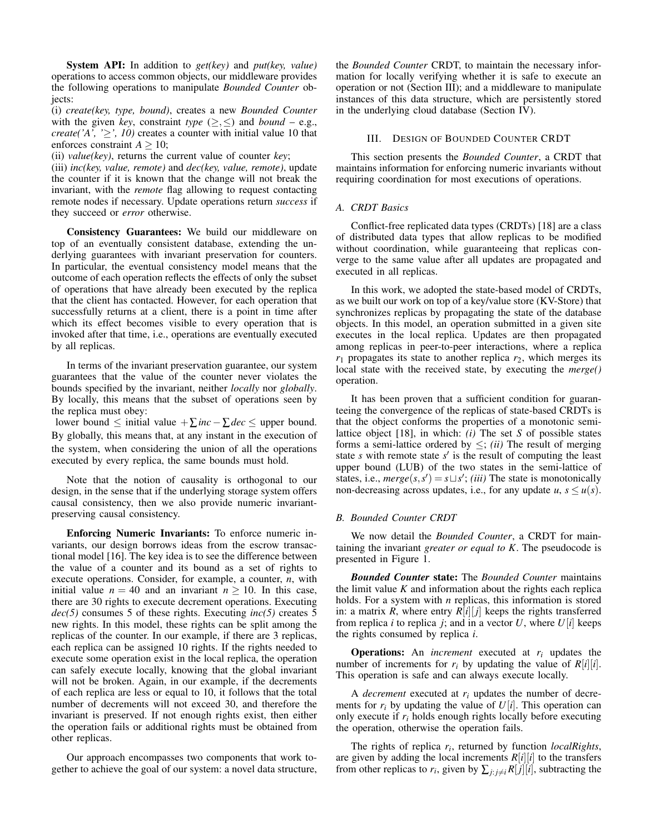System API: In addition to *get(key)* and *put(key, value)* operations to access common objects, our middleware provides the following operations to manipulate *Bounded Counter* objects:

(i) *create(key, type, bound)*, creates a new *Bounded Counter* with the given *key*, constraint *type* ( $\geq$ , $\leq$ ) and *bound* – e.g., *create('A', '* $\geq$ ', 10) creates a counter with initial value 10 that enforces constraint  $A \ge 10$ ;

(ii) *value(key)*, returns the current value of counter *key*;

(iii) *inc(key, value, remote)* and *dec(key, value, remote)*, update the counter if it is known that the change will not break the invariant, with the *remote* flag allowing to request contacting remote nodes if necessary. Update operations return *success* if they succeed or *error* otherwise.

Consistency Guarantees: We build our middleware on top of an eventually consistent database, extending the underlying guarantees with invariant preservation for counters. In particular, the eventual consistency model means that the outcome of each operation reflects the effects of only the subset of operations that have already been executed by the replica that the client has contacted. However, for each operation that successfully returns at a client, there is a point in time after which its effect becomes visible to every operation that is invoked after that time, i.e., operations are eventually executed by all replicas.

In terms of the invariant preservation guarantee, our system guarantees that the value of the counter never violates the bounds specified by the invariant, neither *locally* nor *globally*. By locally, this means that the subset of operations seen by the replica must obey:

lower bound ≤ initial value +∑*inc*−∑*dec* ≤ upper bound. By globally, this means that, at any instant in the execution of the system, when considering the union of all the operations executed by every replica, the same bounds must hold.

Note that the notion of causality is orthogonal to our design, in the sense that if the underlying storage system offers causal consistency, then we also provide numeric invariantpreserving causal consistency.

Enforcing Numeric Invariants: To enforce numeric invariants, our design borrows ideas from the escrow transactional model [16]. The key idea is to see the difference between the value of a counter and its bound as a set of rights to execute operations. Consider, for example, a counter, *n*, with initial value  $n = 40$  and an invariant  $n \ge 10$ . In this case, there are 30 rights to execute decrement operations. Executing *dec(5)* consumes 5 of these rights. Executing *inc(5)* creates 5 new rights. In this model, these rights can be split among the replicas of the counter. In our example, if there are 3 replicas, each replica can be assigned 10 rights. If the rights needed to execute some operation exist in the local replica, the operation can safely execute locally, knowing that the global invariant will not be broken. Again, in our example, if the decrements of each replica are less or equal to 10, it follows that the total number of decrements will not exceed 30, and therefore the invariant is preserved. If not enough rights exist, then either the operation fails or additional rights must be obtained from other replicas.

Our approach encompasses two components that work together to achieve the goal of our system: a novel data structure, the *Bounded Counter* CRDT, to maintain the necessary information for locally verifying whether it is safe to execute an operation or not (Section III); and a middleware to manipulate instances of this data structure, which are persistently stored in the underlying cloud database (Section IV).

# III. DESIGN OF BOUNDED COUNTER CRDT

This section presents the *Bounded Counter*, a CRDT that maintains information for enforcing numeric invariants without requiring coordination for most executions of operations.

# *A. CRDT Basics*

Conflict-free replicated data types (CRDTs) [18] are a class of distributed data types that allow replicas to be modified without coordination, while guaranteeing that replicas converge to the same value after all updates are propagated and executed in all replicas.

In this work, we adopted the state-based model of CRDTs, as we built our work on top of a key/value store (KV-Store) that synchronizes replicas by propagating the state of the database objects. In this model, an operation submitted in a given site executes in the local replica. Updates are then propagated among replicas in peer-to-peer interactions, where a replica  $r_1$  propagates its state to another replica  $r_2$ , which merges its local state with the received state, by executing the *merge()* operation.

It has been proven that a sufficient condition for guaranteeing the convergence of the replicas of state-based CRDTs is that the object conforms the properties of a monotonic semilattice object [18], in which: *(i)* The set *S* of possible states forms a semi-lattice ordered by  $\leq$ ; *(ii)* The result of merging state *s* with remote state  $s'$  is the result of computing the least upper bound (LUB) of the two states in the semi-lattice of states, i.e.,  $merge(s, s') = s \sqcup s'$ ; *(iii)* The state is monotonically non-decreasing across updates, i.e., for any update  $u, s \le u(s)$ .

# *B. Bounded Counter CRDT*

We now detail the *Bounded Counter*, a CRDT for maintaining the invariant *greater or equal to K*. The pseudocode is presented in Figure 1.

*Bounded Counter* state: The *Bounded Counter* maintains the limit value  $K$  and information about the rights each replica holds. For a system with *n* replicas, this information is stored in: a matrix *R*, where entry  $R[i][j]$  keeps the rights transferred from replica *i* to replica *j*; and in a vector  $U$ , where  $U[i]$  keeps the rights consumed by replica *i*.

Operations: An *increment* executed at *r<sup>i</sup>* updates the number of increments for  $r_i$  by updating the value of  $R[i][i]$ . This operation is safe and can always execute locally.

A *decrement* executed at  $r_i$  updates the number of decrements for  $r_i$  by updating the value of  $U[i]$ . This operation can only execute if *r<sup>i</sup>* holds enough rights locally before executing the operation, otherwise the operation fails.

The rights of replica *r<sup>i</sup>* , returned by function *localRights*, are given by adding the local increments  $R[i][i]$  to the transfers from other replicas to  $r_i$ , given by  $\sum_{j : j \neq i} R[j][i]$ , subtracting the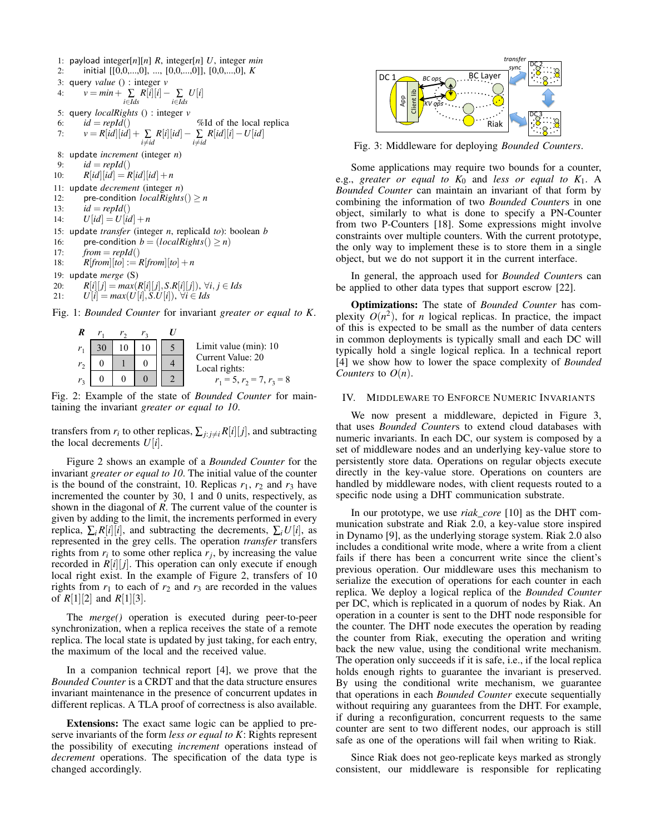1: payload integer[*n*][*n*] *R*, integer[*n*] *U*, integer *min* 2: initial [[0,0,...,0], ..., [0,0,...,0]], [0,0,...,0], *K* 3: query *value* () : integer *v* 4:  $v = min + \sum_{i \in I ds} R[i][i] - \sum_{i \in I ds} U[i]$ 5: query *localRights* () : integer *v* 6:  $id = repld()$  %Id of the local replica 7:  $v = R[id][id] + \sum_{i \neq id} R[i][id] - \sum_{i \neq id} R[id][i] - U[id]$ 8: update *increment* (integer *n*) 9:  $id = repId()$ 10:  $R[id][id] = R[id][id] + n$ 11: update *decrement* (integer *n*) 12: pre-condition  $localRisk() > n$ 13:  $id = repId()$ 14:  $U[id] = U[id] + n$ 15: update *transfer* (integer *n*, replicaId *to*): boolean *b* 16: pre-condition  $b = (local Rights() \ge n)$ 17:  $from = repId()$ 18:  $R[from][to] := R[from][to] + n$ 19: update *merge* (S) 20:  $R[i][j] = max(R[i][j], S.R[i][j]), \forall i, j \in \text{Ids}$ 21:  $U[i] = max(U[i], S.U[i]), \forall i \in \mathit{Ids}$ Fig. 1: *Bounded Counter* for invariant *greater or equal to K*.



Fig. 2: Example of the state of *Bounded Counter* for maintaining the invariant *greater or equal to 10*.

transfers from  $r_i$  to other replicas,  $\sum_{j: j \neq i} R[i][j]$ , and subtracting the local decrements  $U[i]$ .

Figure 2 shows an example of a *Bounded Counter* for the invariant *greater or equal to 10*. The initial value of the counter is the bound of the constraint, 10. Replicas  $r_1$ ,  $r_2$  and  $r_3$  have incremented the counter by 30, 1 and 0 units, respectively, as shown in the diagonal of *R*. The current value of the counter is given by adding to the limit, the increments performed in every replica,  $\sum_i R[i][i]$ , and subtracting the decrements,  $\sum_i U[i]$ , as represented in the grey cells. The operation *transfer* transfers rights from  $r_i$  to some other replica  $r_j$ , by increasing the value recorded in  $R[i][j]$ . This operation can only execute if enough local right exist. In the example of Figure 2, transfers of 10 rights from  $r_1$  to each of  $r_2$  and  $r_3$  are recorded in the values of *R*[1][2] and *R*[1][3].

The *merge()* operation is executed during peer-to-peer synchronization, when a replica receives the state of a remote replica. The local state is updated by just taking, for each entry, the maximum of the local and the received value.

In a companion technical report [4], we prove that the *Bounded Counter* is a CRDT and that the data structure ensures invariant maintenance in the presence of concurrent updates in different replicas. A TLA proof of correctness is also available.

Extensions: The exact same logic can be applied to preserve invariants of the form *less or equal to K*: Rights represent the possibility of executing *increment* operations instead of *decrement* operations. The specification of the data type is changed accordingly.



Fig. 3: Middleware for deploying *Bounded Counters*.

Some applications may require two bounds for a counter, e.g., *greater or equal to K*<sup>0</sup> and *less or equal to K*1. A *Bounded Counter* can maintain an invariant of that form by combining the information of two *Bounded Counter*s in one object, similarly to what is done to specify a PN-Counter from two P-Counters [18]. Some expressions might involve constraints over multiple counters. With the current prototype, the only way to implement these is to store them in a single object, but we do not support it in the current interface.

In general, the approach used for *Bounded Counter*s can be applied to other data types that support escrow [22].

Optimizations: The state of *Bounded Counter* has complexity  $O(n^2)$ , for *n* logical replicas. In practice, the impact of this is expected to be small as the number of data centers in common deployments is typically small and each DC will typically hold a single logical replica. In a technical report [4] we show how to lower the space complexity of *Bounded Counters* to  $O(n)$ .

## IV. MIDDLEWARE TO ENFORCE NUMERIC INVARIANTS

We now present a middleware, depicted in Figure 3, that uses *Bounded Counter*s to extend cloud databases with numeric invariants. In each DC, our system is composed by a set of middleware nodes and an underlying key-value store to persistently store data. Operations on regular objects execute directly in the key-value store. Operations on counters are handled by middleware nodes, with client requests routed to a specific node using a DHT communication substrate.

In our prototype, we use *riak\_core* [10] as the DHT communication substrate and Riak 2.0, a key-value store inspired in Dynamo [9], as the underlying storage system. Riak 2.0 also includes a conditional write mode, where a write from a client fails if there has been a concurrent write since the client's previous operation. Our middleware uses this mechanism to serialize the execution of operations for each counter in each replica. We deploy a logical replica of the *Bounded Counter* per DC, which is replicated in a quorum of nodes by Riak. An operation in a counter is sent to the DHT node responsible for the counter. The DHT node executes the operation by reading the counter from Riak, executing the operation and writing back the new value, using the conditional write mechanism. The operation only succeeds if it is safe, i.e., if the local replica holds enough rights to guarantee the invariant is preserved. By using the conditional write mechanism, we guarantee that operations in each *Bounded Counter* execute sequentially without requiring any guarantees from the DHT. For example, if during a reconfiguration, concurrent requests to the same counter are sent to two different nodes, our approach is still safe as one of the operations will fail when writing to Riak.

Since Riak does not geo-replicate keys marked as strongly consistent, our middleware is responsible for replicating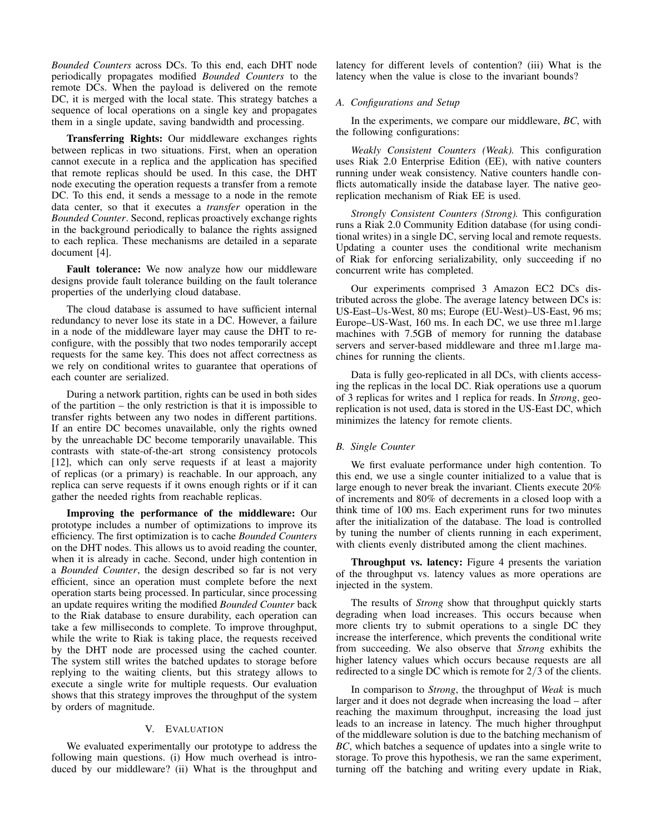*Bounded Counters* across DCs. To this end, each DHT node periodically propagates modified *Bounded Counters* to the remote DCs. When the payload is delivered on the remote DC, it is merged with the local state. This strategy batches a sequence of local operations on a single key and propagates them in a single update, saving bandwidth and processing.

Transferring Rights: Our middleware exchanges rights between replicas in two situations. First, when an operation cannot execute in a replica and the application has specified that remote replicas should be used. In this case, the DHT node executing the operation requests a transfer from a remote DC. To this end, it sends a message to a node in the remote data center, so that it executes a *transfer* operation in the *Bounded Counter*. Second, replicas proactively exchange rights in the background periodically to balance the rights assigned to each replica. These mechanisms are detailed in a separate document [4].

Fault tolerance: We now analyze how our middleware designs provide fault tolerance building on the fault tolerance properties of the underlying cloud database.

The cloud database is assumed to have sufficient internal redundancy to never lose its state in a DC. However, a failure in a node of the middleware layer may cause the DHT to reconfigure, with the possibly that two nodes temporarily accept requests for the same key. This does not affect correctness as we rely on conditional writes to guarantee that operations of each counter are serialized.

During a network partition, rights can be used in both sides of the partition – the only restriction is that it is impossible to transfer rights between any two nodes in different partitions. If an entire DC becomes unavailable, only the rights owned by the unreachable DC become temporarily unavailable. This contrasts with state-of-the-art strong consistency protocols [12], which can only serve requests if at least a majority of replicas (or a primary) is reachable. In our approach, any replica can serve requests if it owns enough rights or if it can gather the needed rights from reachable replicas.

Improving the performance of the middleware: Our prototype includes a number of optimizations to improve its efficiency. The first optimization is to cache *Bounded Counters* on the DHT nodes. This allows us to avoid reading the counter, when it is already in cache. Second, under high contention in a *Bounded Counter*, the design described so far is not very efficient, since an operation must complete before the next operation starts being processed. In particular, since processing an update requires writing the modified *Bounded Counter* back to the Riak database to ensure durability, each operation can take a few milliseconds to complete. To improve throughput, while the write to Riak is taking place, the requests received by the DHT node are processed using the cached counter. The system still writes the batched updates to storage before replying to the waiting clients, but this strategy allows to execute a single write for multiple requests. Our evaluation shows that this strategy improves the throughput of the system by orders of magnitude.

# V. EVALUATION

We evaluated experimentally our prototype to address the following main questions. (i) How much overhead is introduced by our middleware? (ii) What is the throughput and latency for different levels of contention? (iii) What is the latency when the value is close to the invariant bounds?

# *A. Configurations and Setup*

In the experiments, we compare our middleware, *BC*, with the following configurations:

*Weakly Consistent Counters (Weak).* This configuration uses Riak 2.0 Enterprise Edition (EE), with native counters running under weak consistency. Native counters handle conflicts automatically inside the database layer. The native georeplication mechanism of Riak EE is used.

*Strongly Consistent Counters (Strong).* This configuration runs a Riak 2.0 Community Edition database (for using conditional writes) in a single DC, serving local and remote requests. Updating a counter uses the conditional write mechanism of Riak for enforcing serializability, only succeeding if no concurrent write has completed.

Our experiments comprised 3 Amazon EC2 DCs distributed across the globe. The average latency between DCs is: US-East–Us-West, 80 ms; Europe (EU-West)–US-East, 96 ms; Europe–US-Wast, 160 ms. In each DC, we use three m1.large machines with 7.5GB of memory for running the database servers and server-based middleware and three m1.large machines for running the clients.

Data is fully geo-replicated in all DCs, with clients accessing the replicas in the local DC. Riak operations use a quorum of 3 replicas for writes and 1 replica for reads. In *Strong*, georeplication is not used, data is stored in the US-East DC, which minimizes the latency for remote clients.

# *B. Single Counter*

We first evaluate performance under high contention. To this end, we use a single counter initialized to a value that is large enough to never break the invariant. Clients execute 20% of increments and 80% of decrements in a closed loop with a think time of 100 ms. Each experiment runs for two minutes after the initialization of the database. The load is controlled by tuning the number of clients running in each experiment, with clients evenly distributed among the client machines.

Throughput vs. latency: Figure 4 presents the variation of the throughput vs. latency values as more operations are injected in the system.

The results of *Strong* show that throughput quickly starts degrading when load increases. This occurs because when more clients try to submit operations to a single DC they increase the interference, which prevents the conditional write from succeeding. We also observe that *Strong* exhibits the higher latency values which occurs because requests are all redirected to a single DC which is remote for 2/3 of the clients.

In comparison to *Strong*, the throughput of *Weak* is much larger and it does not degrade when increasing the load – after reaching the maximum throughput, increasing the load just leads to an increase in latency. The much higher throughput of the middleware solution is due to the batching mechanism of *BC*, which batches a sequence of updates into a single write to storage. To prove this hypothesis, we ran the same experiment, turning off the batching and writing every update in Riak,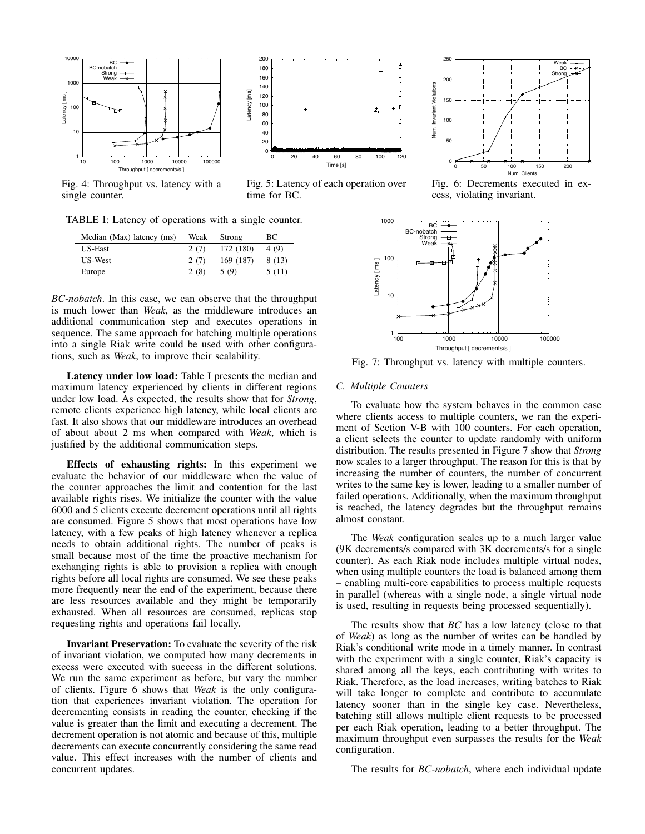

Fig. 4: Throughput vs. latency with a single counter.

TABLE I: Latency of operations with a single counter.

| Median (Max) latency (ms) | Weak | Strong    | BС     |
|---------------------------|------|-----------|--------|
| US-East                   | 2(7) | 172 (180) | 4 (9)  |
| US-West                   | 2(7) | 169 (187) | 8 (13) |
| Europe                    | 2(8) | 5(9)      | 5(11)  |

*BC-nobatch*. In this case, we can observe that the throughput is much lower than *Weak*, as the middleware introduces an additional communication step and executes operations in sequence. The same approach for batching multiple operations into a single Riak write could be used with other configurations, such as *Weak*, to improve their scalability.

Latency under low load: Table I presents the median and maximum latency experienced by clients in different regions under low load. As expected, the results show that for *Strong*, remote clients experience high latency, while local clients are fast. It also shows that our middleware introduces an overhead of about about 2 ms when compared with *Weak*, which is justified by the additional communication steps.

Effects of exhausting rights: In this experiment we evaluate the behavior of our middleware when the value of the counter approaches the limit and contention for the last available rights rises. We initialize the counter with the value 6000 and 5 clients execute decrement operations until all rights are consumed. Figure 5 shows that most operations have low latency, with a few peaks of high latency whenever a replica needs to obtain additional rights. The number of peaks is small because most of the time the proactive mechanism for exchanging rights is able to provision a replica with enough rights before all local rights are consumed. We see these peaks more frequently near the end of the experiment, because there are less resources available and they might be temporarily exhausted. When all resources are consumed, replicas stop requesting rights and operations fail locally.

Invariant Preservation: To evaluate the severity of the risk of invariant violation, we computed how many decrements in excess were executed with success in the different solutions. We run the same experiment as before, but vary the number of clients. Figure 6 shows that *Weak* is the only configuration that experiences invariant violation. The operation for decrementing consists in reading the counter, checking if the value is greater than the limit and executing a decrement. The decrement operation is not atomic and because of this, multiple decrements can execute concurrently considering the same read value. This effect increases with the number of clients and concurrent updates.



Fig. 5: Latency of each operation over time for BC.



Fig. 6: Decrements executed in excess, violating invariant.



Fig. 7: Throughput vs. latency with multiple counters.

#### *C. Multiple Counters*

To evaluate how the system behaves in the common case where clients access to multiple counters, we ran the experiment of Section V-B with 100 counters. For each operation, a client selects the counter to update randomly with uniform distribution. The results presented in Figure 7 show that *Strong* now scales to a larger throughput. The reason for this is that by increasing the number of counters, the number of concurrent writes to the same key is lower, leading to a smaller number of failed operations. Additionally, when the maximum throughput is reached, the latency degrades but the throughput remains almost constant.

The *Weak* configuration scales up to a much larger value (9K decrements/s compared with 3K decrements/s for a single counter). As each Riak node includes multiple virtual nodes, when using multiple counters the load is balanced among them – enabling multi-core capabilities to process multiple requests in parallel (whereas with a single node, a single virtual node is used, resulting in requests being processed sequentially).

The results show that *BC* has a low latency (close to that of *Weak*) as long as the number of writes can be handled by Riak's conditional write mode in a timely manner. In contrast with the experiment with a single counter, Riak's capacity is shared among all the keys, each contributing with writes to Riak. Therefore, as the load increases, writing batches to Riak will take longer to complete and contribute to accumulate latency sooner than in the single key case. Nevertheless, batching still allows multiple client requests to be processed per each Riak operation, leading to a better throughput. The maximum throughput even surpasses the results for the *Weak* configuration.

The results for *BC-nobatch*, where each individual update